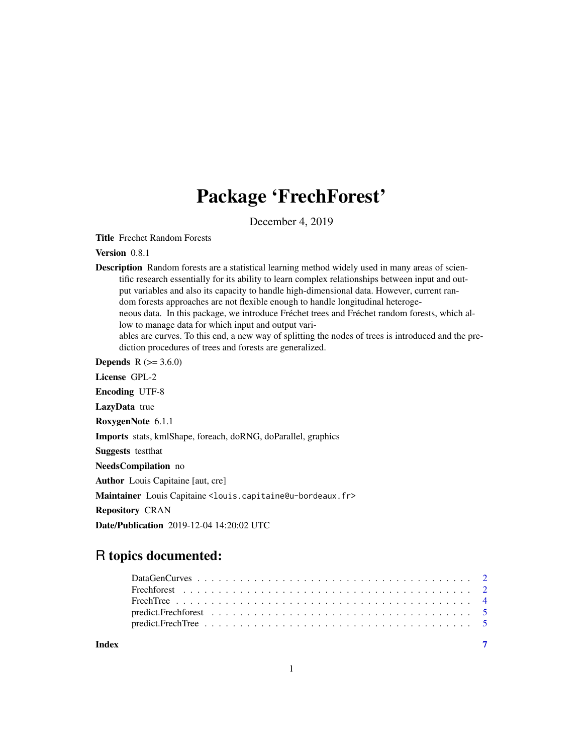# Package 'FrechForest'

December 4, 2019

Title Frechet Random Forests

Version 0.8.1

Description Random forests are a statistical learning method widely used in many areas of scientific research essentially for its ability to learn complex relationships between input and output variables and also its capacity to handle high-dimensional data. However, current random forests approaches are not flexible enough to handle longitudinal heterogeneous data. In this package, we introduce Fréchet trees and Fréchet random forests, which allow to manage data for which input and output variables are curves. To this end, a new way of splitting the nodes of trees is introduced and the prediction procedures of trees and forests are generalized.

**Depends**  $R$  ( $> = 3.6.0$ )

License GPL-2

Encoding UTF-8

LazyData true

RoxygenNote 6.1.1

Imports stats, kmlShape, foreach, doRNG, doParallel, graphics

Suggests testthat

NeedsCompilation no

Author Louis Capitaine [aut, cre]

Maintainer Louis Capitaine <louis.capitaine@u-bordeaux.fr>

Repository CRAN

Date/Publication 2019-12-04 14:20:02 UTC

# R topics documented:

|       | predict.FrechTree $\ldots \ldots \ldots \ldots \ldots \ldots \ldots \ldots \ldots \ldots \ldots \ldots \ldots$ |
|-------|----------------------------------------------------------------------------------------------------------------|
| Index |                                                                                                                |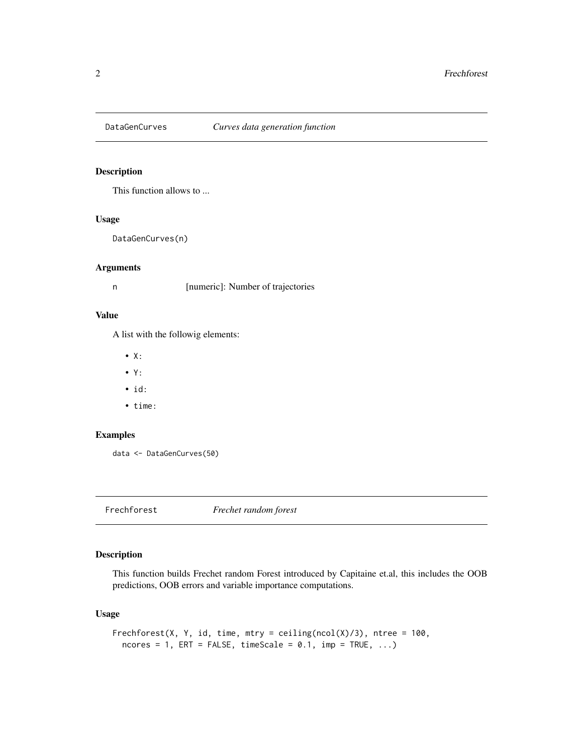<span id="page-1-0"></span>

# Description

This function allows to ...

# Usage

DataGenCurves(n)

#### Arguments

n [numeric]: Number of trajectories

# Value

A list with the followig elements:

- X:
- Y:
- id:
- time:

#### Examples

data <- DataGenCurves(50)

Frechforest *Frechet random forest*

# Description

This function builds Frechet random Forest introduced by Capitaine et.al, this includes the OOB predictions, OOB errors and variable importance computations.

#### Usage

```
Frechforest(X, Y, id, time, mtry = ceiling(ncol(X)/3), ntree = 100,
 ncores = 1, ERT = FALSE, timeScale = 0.1, imp = TRUE, ...)
```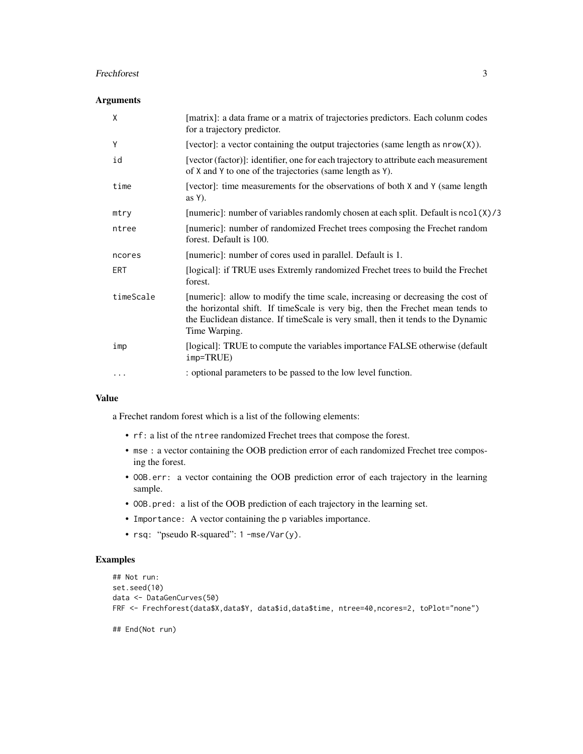#### Frechforest 3

# Arguments

| X         | [matrix]: a data frame or a matrix of trajectories predictors. Each colunm codes<br>for a trajectory predictor.                                                                                                                                                        |
|-----------|------------------------------------------------------------------------------------------------------------------------------------------------------------------------------------------------------------------------------------------------------------------------|
| Υ         | [vector]: a vector containing the output trajectories (same length as nrow(X)).                                                                                                                                                                                        |
| id        | [vector (factor)]: identifier, one for each trajectory to attribute each measurement<br>of X and Y to one of the trajectories (same length as Y).                                                                                                                      |
| time      | [vector]: time measurements for the observations of both X and Y (same length)<br>as $Y$ ).                                                                                                                                                                            |
| mtry      | [numeric]: number of variables randomly chosen at each split. Default is ncol(X)/3                                                                                                                                                                                     |
| ntree     | [numeric]: number of randomized Frechet trees composing the Frechet random<br>forest. Default is 100.                                                                                                                                                                  |
| ncores    | [numeric]: number of cores used in parallel. Default is 1.                                                                                                                                                                                                             |
| ERT       | [logical]: if TRUE uses Extremly randomized Frechet trees to build the Frechet<br>forest.                                                                                                                                                                              |
| timeScale | [numeric]: allow to modify the time scale, increasing or decreasing the cost of<br>the horizontal shift. If timeScale is very big, then the Frechet mean tends to<br>the Euclidean distance. If timeScale is very small, then it tends to the Dynamic<br>Time Warping. |
| imp       | [logical]: TRUE to compute the variables importance FALSE otherwise (default<br>$imp=TRUE$ )                                                                                                                                                                           |
| $\cdots$  | : optional parameters to be passed to the low level function.                                                                                                                                                                                                          |
|           |                                                                                                                                                                                                                                                                        |

# Value

a Frechet random forest which is a list of the following elements:

- rf: a list of the ntree randomized Frechet trees that compose the forest.
- mse : a vector containing the OOB prediction error of each randomized Frechet tree composing the forest.
- OOB.err: a vector containing the OOB prediction error of each trajectory in the learning sample.
- OOB.pred: a list of the OOB prediction of each trajectory in the learning set.
- Importance: A vector containing the p variables importance.
- rsq: "pseudo R-squared": 1 -mse/Var(y).

# Examples

```
## Not run:
set.seed(10)
data <- DataGenCurves(50)
FRF <- Frechforest(data$X,data$Y, data$id,data$time, ntree=40,ncores=2, toPlot="none")
```
## End(Not run)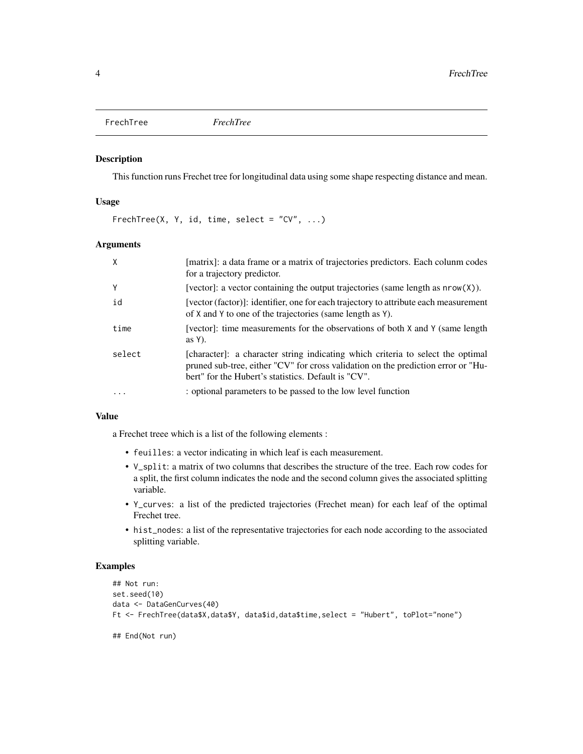<span id="page-3-0"></span>FrechTree *FrechTree*

#### Description

This function runs Frechet tree for longitudinal data using some shape respecting distance and mean.

#### Usage

 $FrechTree(X, Y, id, time, select = "CV", ...)$ 

#### **Arguments**

| X        | [matrix]: a data frame or a matrix of trajectories predictors. Each colunm codes<br>for a trajectory predictor.                                                                                                             |
|----------|-----------------------------------------------------------------------------------------------------------------------------------------------------------------------------------------------------------------------------|
| Y        | [vector]: a vector containing the output trajectories (same length as $nrow(X)$ ).                                                                                                                                          |
| id       | [vector (factor)]: identifier, one for each trajectory to attribute each measurement<br>of X and Y to one of the trajectories (same length as Y).                                                                           |
| time     | [vector]: time measurements for the observations of both $X$ and $Y$ (same length<br>as $Y$ ).                                                                                                                              |
| select   | [character]: a character string indicating which criteria to select the optimal<br>pruned sub-tree, either "CV" for cross validation on the prediction error or "Hu-<br>bert" for the Hubert's statistics. Default is "CV". |
| $\cdots$ | : optional parameters to be passed to the low level function                                                                                                                                                                |

#### Value

a Frechet treee which is a list of the following elements :

- feuilles: a vector indicating in which leaf is each measurement.
- V\_split: a matrix of two columns that describes the structure of the tree. Each row codes for a split, the first column indicates the node and the second column gives the associated splitting variable.
- Y\_curves: a list of the predicted trajectories (Frechet mean) for each leaf of the optimal Frechet tree.
- hist\_nodes: a list of the representative trajectories for each node according to the associated splitting variable.

# Examples

```
## Not run:
set.seed(10)
data <- DataGenCurves(40)
Ft <- FrechTree(data$X,data$Y, data$id,data$time,select = "Hubert", toPlot="none")
```
## End(Not run)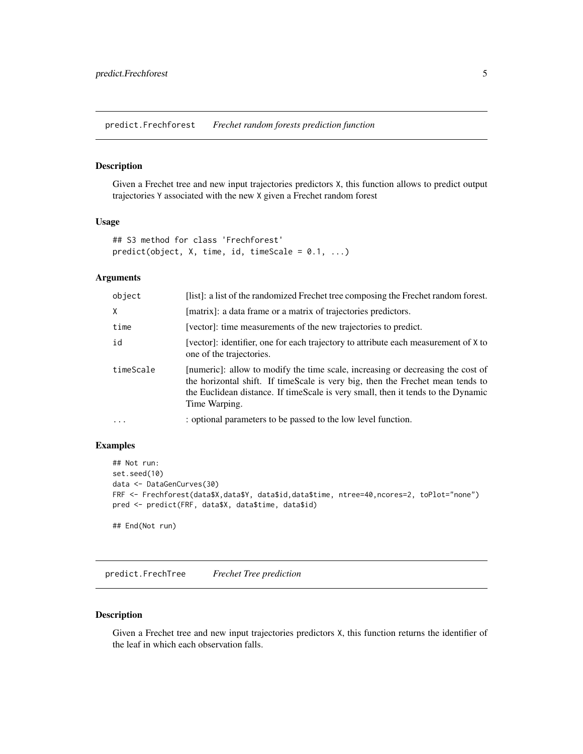<span id="page-4-0"></span>predict.Frechforest *Frechet random forests prediction function*

#### Description

Given a Frechet tree and new input trajectories predictors X, this function allows to predict output trajectories Y associated with the new X given a Frechet random forest

#### Usage

```
## S3 method for class 'Frechforest'
predict(object, X, time, id, timeScale = 0.1, ...)
```
# Arguments

| object     | [list]: a list of the randomized Frechet tree composing the Frechet random forest.                                                                                                                                                                                     |
|------------|------------------------------------------------------------------------------------------------------------------------------------------------------------------------------------------------------------------------------------------------------------------------|
| X          | [matrix]: a data frame or a matrix of trajectories predictors.                                                                                                                                                                                                         |
| time       | [vector]: time measurements of the new trajectories to predict.                                                                                                                                                                                                        |
| id         | [vector]: identifier, one for each trajectory to attribute each measurement of X to<br>one of the trajectories.                                                                                                                                                        |
| timeScale  | [numeric]: allow to modify the time scale, increasing or decreasing the cost of<br>the horizontal shift. If timeScale is very big, then the Frechet mean tends to<br>the Euclidean distance. If timeScale is very small, then it tends to the Dynamic<br>Time Warping. |
| $\ddots$ . | : optional parameters to be passed to the low level function.                                                                                                                                                                                                          |

# Examples

```
## Not run:
set.seed(10)
data <- DataGenCurves(30)
FRF <- Frechforest(data$X,data$Y, data$id,data$time, ntree=40,ncores=2, toPlot="none")
pred <- predict(FRF, data$X, data$time, data$id)
```
## End(Not run)

predict.FrechTree *Frechet Tree prediction*

#### Description

Given a Frechet tree and new input trajectories predictors X, this function returns the identifier of the leaf in which each observation falls.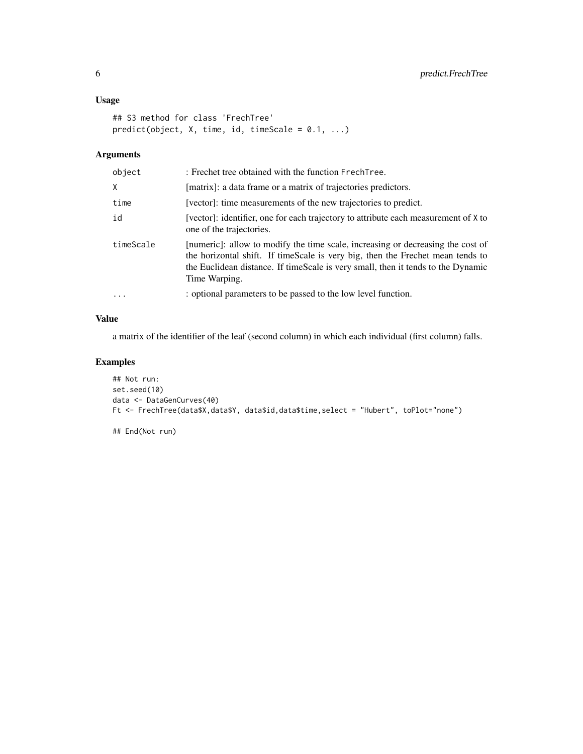#### Usage

```
## S3 method for class 'FrechTree'
predict(object, X, time, id, timeScale = 0.1, ...)
```
# Arguments

| object    | : Frechet tree obtained with the function FrechTree.                                                                                                                                                                                                                   |
|-----------|------------------------------------------------------------------------------------------------------------------------------------------------------------------------------------------------------------------------------------------------------------------------|
| Χ         | [matrix]: a data frame or a matrix of trajectories predictors.                                                                                                                                                                                                         |
| time      | [vector]: time measurements of the new trajectories to predict.                                                                                                                                                                                                        |
| id        | [vector]: identifier, one for each trajectory to attribute each measurement of X to<br>one of the trajectories.                                                                                                                                                        |
| timeScale | [numeric]: allow to modify the time scale, increasing or decreasing the cost of<br>the horizontal shift. If timeScale is very big, then the Frechet mean tends to<br>the Euclidean distance. If timeScale is very small, then it tends to the Dynamic<br>Time Warping. |
| .         | : optional parameters to be passed to the low level function.                                                                                                                                                                                                          |

#### Value

a matrix of the identifier of the leaf (second column) in which each individual (first column) falls.

# Examples

```
## Not run:
set.seed(10)
data <- DataGenCurves(40)
Ft <- FrechTree(data$X,data$Y, data$id,data$time,select = "Hubert", toPlot="none")
```
## End(Not run)